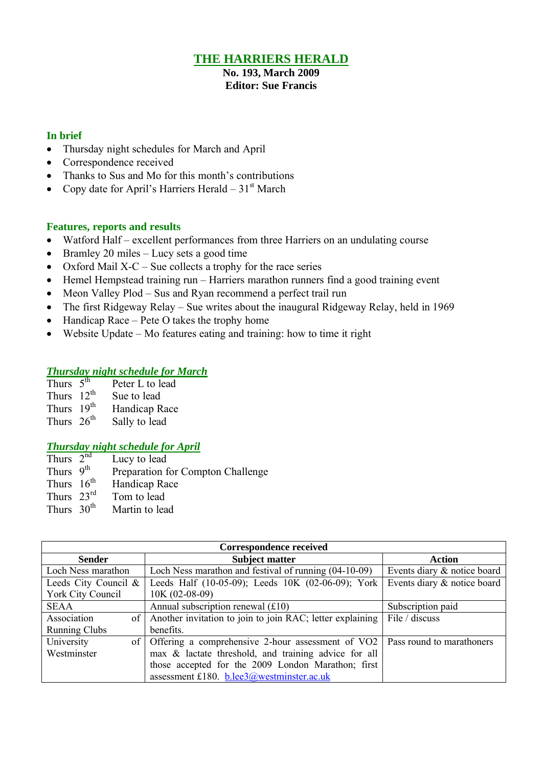## **THE HARRIERS HERALD**

**No. 193, March 2009 Editor: Sue Francis**

### **In brief**

- Thursday night schedules for March and April
- Correspondence received
- Thanks to Sus and Mo for this month's contributions
- Copy date for April's Harriers Herald  $31<sup>st</sup>$  March

### **Features, reports and results**

- Watford Half excellent performances from three Harriers on an undulating course
- Bramley 20 miles Lucy sets a good time
- Oxford Mail  $X-C$  Sue collects a trophy for the race series
- Hemel Hempstead training run Harriers marathon runners find a good training event
- Meon Valley Plod Sus and Ryan recommend a perfect trail run
- The first Ridgeway Relay Sue writes about the inaugural Ridgeway Relay, held in 1969
- $\bullet$  Handicap Race Pete O takes the trophy home
- Website Update Mo features eating and training: how to time it right

### *Thursday night schedule for March*

| Thurs $\overline{5^{th}}$ | Peter L to lead |
|---------------------------|-----------------|
| Thurs $12^{th}$           | Sue to lead     |
| Thurs 19th                | Handicap Race   |
| Thurs $26th$              | Sally to lead   |

### *Thursday night schedule for April*

| Thurs $2^{\overline{\text{nd}}}$ | Lucy to lead                      |
|----------------------------------|-----------------------------------|
| Thurs $9^{th}$                   | Preparation for Compton Challenge |
| Thurs $16th$                     | Handicap Race                     |
| Thurs $23^{\text{rd}}$           | Tom to lead                       |
| Thurs $30th$                     | Martin to lead                    |

| <b>Correspondence received</b> |                                                                                                |                             |  |  |  |  |  |
|--------------------------------|------------------------------------------------------------------------------------------------|-----------------------------|--|--|--|--|--|
| <b>Sender</b>                  | <b>Subject matter</b>                                                                          | <b>Action</b>               |  |  |  |  |  |
| Loch Ness marathon             | Loch Ness marathon and festival of running $(04-10-09)$                                        | Events diary & notice board |  |  |  |  |  |
| Leeds City Council &           | Leeds Half (10-05-09); Leeds 10K (02-06-09); York                                              | Events diary & notice board |  |  |  |  |  |
| York City Council              | $10K (02-08-09)$                                                                               |                             |  |  |  |  |  |
| <b>SEAA</b>                    | Annual subscription renewal $(f10)$                                                            | Subscription paid           |  |  |  |  |  |
| Association                    | of Another invitation to join to join RAC; letter explaining                                   | File / discuss              |  |  |  |  |  |
| <b>Running Clubs</b>           | benefits.                                                                                      |                             |  |  |  |  |  |
| University                     | of $\vert$ Offering a comprehensive 2-hour assessment of VO2 $\vert$ Pass round to maratheners |                             |  |  |  |  |  |
| Westminster                    | max & lactate threshold, and training advice for all                                           |                             |  |  |  |  |  |
|                                | those accepted for the 2009 London Marathon; first                                             |                             |  |  |  |  |  |
|                                | assessment £180. b.lee3@westminster.ac.uk                                                      |                             |  |  |  |  |  |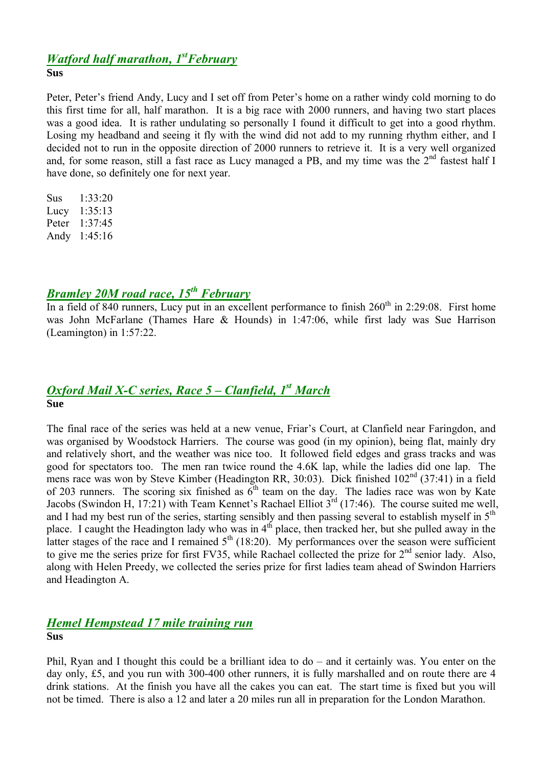# *Watford half marathon, 1 stFebruary*

### **Sus**

Peter, Peter's friend Andy, Lucy and I set off from Peter's home on a rather windy cold morning to do this first time for all, half marathon. It is a big race with 2000 runners, and having two start places was a good idea. It is rather undulating so personally I found it difficult to get into a good rhythm. Losing my headband and seeing it fly with the wind did not add to my running rhythm either, and I decided not to run in the opposite direction of 2000 runners to retrieve it. It is a very well organized and, for some reason, still a fast race as Lucy managed a PB, and my time was the  $2<sup>nd</sup>$  fastest half I have done, so definitely one for next year.

Sus 1:33:20 Lucy 1:35:13 Peter 1:37:45 Andy 1:45:16

## *Bramley 20M road race, 15th February*

In a field of 840 runners, Lucy put in an excellent performance to finish  $260<sup>th</sup>$  in 2:29:08. First home was John McFarlane (Thames Hare & Hounds) in 1:47:06, while first lady was Sue Harrison (Leamington) in 1:57:22.

## *Oxford Mail X-C series, Race 5 – Clanfield, 1 st March* **Sue**

The final race of the series was held at a new venue, Friar's Court, at Clanfield near Faringdon, and was organised by Woodstock Harriers. The course was good (in my opinion), being flat, mainly dry and relatively short, and the weather was nice too. It followed field edges and grass tracks and was good for spectators too. The men ran twice round the 4.6K lap, while the ladies did one lap. The mens race was won by Steve Kimber (Headington RR, 30:03). Dick finished 102<sup>nd</sup> (37:41) in a field of 203 runners. The scoring six finished as  $6<sup>th</sup>$  team on the day. The ladies race was won by Kate Jacobs (Swindon H, 17:21) with Team Kennet's Rachael Elliot  $3^{rd}$  (17:46). The course suited me well, and I had my best run of the series, starting sensibly and then passing several to establish myself in  $5<sup>th</sup>$ place. I caught the Headington lady who was in 4<sup>th</sup> place, then tracked her, but she pulled away in the latter stages of the race and I remained  $5<sup>th</sup>$  (18:20). My performances over the season were sufficient to give me the series prize for first FV35, while Rachael collected the prize for  $2<sup>nd</sup>$  senior lady. Also, along with Helen Preedy, we collected the series prize for first ladies team ahead of Swindon Harriers and Headington A.

### *Hemel Hempstead 17 mile training run* **Sus**

Phil, Ryan and I thought this could be a brilliant idea to do – and it certainly was. You enter on the day only, £5, and you run with 300-400 other runners, it is fully marshalled and on route there are 4 drink stations. At the finish you have all the cakes you can eat. The start time is fixed but you will not be timed. There is also a 12 and later a 20 miles run all in preparation for the London Marathon.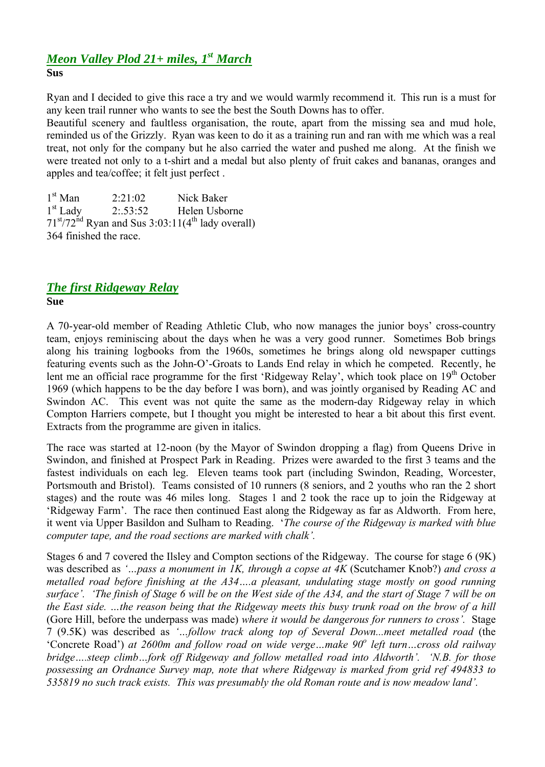### *Meon Valley Plod 21+ miles, 1 st March* **Sus**

Ryan and I decided to give this race a try and we would warmly recommend it. This run is a must for any keen trail runner who wants to see the best the South Downs has to offer.

Beautiful scenery and faultless organisation, the route, apart from the missing sea and mud hole, reminded us of the Grizzly. Ryan was keen to do it as a training run and ran with me which was a real treat, not only for the company but he also carried the water and pushed me along. At the finish we were treated not only to a t-shirt and a medal but also plenty of fruit cakes and bananas, oranges and apples and tea/coffee; it felt just perfect .

 $1<sup>st</sup>$  Man  $2.21.02$  Nick Baker  $1<sup>st</sup>$  Lady 2:53:52 Helen Usborne  $71<sup>st</sup>/72<sup>nd</sup>$  Ryan and Sus 3:03:11(4<sup>th</sup> lady overall) 364 finished the race.

### *The first Ridgeway Relay* **Sue**

A 70-year-old member of Reading Athletic Club, who now manages the junior boys' cross-country team, enjoys reminiscing about the days when he was a very good runner. Sometimes Bob brings along his training logbooks from the 1960s, sometimes he brings along old newspaper cuttings featuring events such as the John-O'-Groats to Lands End relay in which he competed. Recently, he lent me an official race programme for the first 'Ridgeway Relay', which took place on 19<sup>th</sup> October 1969 (which happens to be the day before I was born), and was jointly organised by Reading AC and Swindon AC. This event was not quite the same as the modern-day Ridgeway relay in which Compton Harriers compete, but I thought you might be interested to hear a bit about this first event. Extracts from the programme are given in italics.

The race was started at 12-noon (by the Mayor of Swindon dropping a flag) from Queens Drive in Swindon, and finished at Prospect Park in Reading. Prizes were awarded to the first 3 teams and the fastest individuals on each leg. Eleven teams took part (including Swindon, Reading, Worcester, Portsmouth and Bristol). Teams consisted of 10 runners (8 seniors, and 2 youths who ran the 2 short stages) and the route was 46 miles long. Stages 1 and 2 took the race up to join the Ridgeway at 'Ridgeway Farm'. The race then continued East along the Ridgeway as far as Aldworth. From here, it went via Upper Basildon and Sulham to Reading. '*The course of the Ridgeway is marked with blue computer tape, and the road sections are marked with chalk'.*

Stages 6 and 7 covered the Ilsley and Compton sections of the Ridgeway. The course for stage 6 (9K) was described as *'…pass a monument in 1K, through a copse at 4K* (Scutchamer Knob?) *and cross a metalled road before finishing at the A34….a pleasant, undulating stage mostly on good running surface'. 'The finish of Stage 6 will be on the West side of the A34, and the start of Stage 7 will be on the East side. …the reason being that the Ridgeway meets this busy trunk road on the brow of a hill* (Gore Hill, before the underpass was made) *where it would be dangerous for runners to cross'.* Stage 7 (9.5K) was described as *'…follow track along top of Several Down...meet metalled road* (the 'Concrete Road') *at 2600m and follow road on wide verge…make 90<sup>o</sup> left turn…cross old railway bridge….steep climb…fork off Ridgeway and follow metalled road into Aldworth'. 'N.B. for those possessing an Ordnance Survey map, note that where Ridgeway is marked from grid ref 494833 to 535819 no such track exists. This was presumably the old Roman route and is now meadow land'.*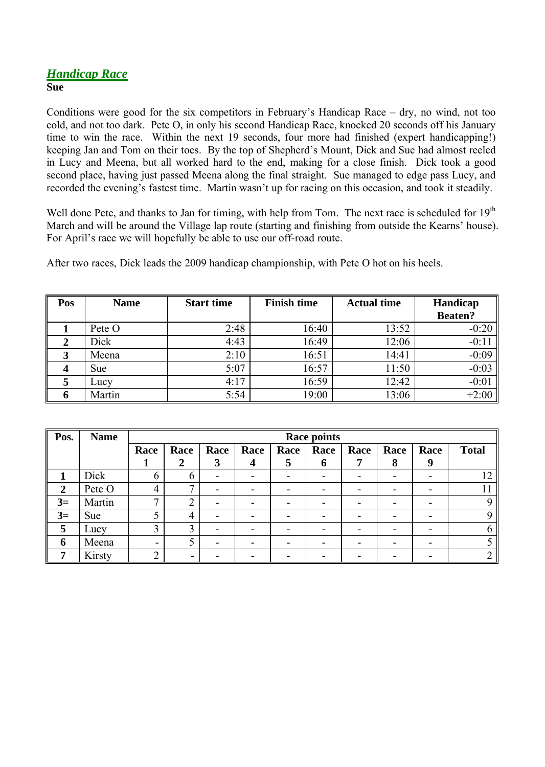## *Handicap Race*

**Sue**

Conditions were good for the six competitors in February's Handicap Race – dry, no wind, not too cold, and not too dark. Pete O, in only his second Handicap Race, knocked 20 seconds off his January time to win the race. Within the next 19 seconds, four more had finished (expert handicapping!) keeping Jan and Tom on their toes. By the top of Shepherd's Mount, Dick and Sue had almost reeled in Lucy and Meena, but all worked hard to the end, making for a close finish. Dick took a good second place, having just passed Meena along the final straight. Sue managed to edge pass Lucy, and recorded the evening's fastest time. Martin wasn't up for racing on this occasion, and took it steadily.

Well done Pete, and thanks to Jan for timing, with help from Tom. The next race is scheduled for 19<sup>th</sup> March and will be around the Village lap route (starting and finishing from outside the Kearns' house). For April's race we will hopefully be able to use our off-road route.

After two races, Dick leads the 2009 handicap championship, with Pete O hot on his heels.

| Pos | <b>Name</b> | <b>Start time</b> | <b>Finish time</b> | <b>Actual time</b> | Handicap       |  |
|-----|-------------|-------------------|--------------------|--------------------|----------------|--|
|     |             |                   |                    |                    | <b>Beaten?</b> |  |
|     | Pete O      | 2:48              | 16:40              | 13:52              | $-0:20$        |  |
|     | Dick        | 4:43              | 16:49              | 12:06              | $-0:11$        |  |
| 3   | Meena       | 2:10              | 16:51              | 14:41              | $-0:09$        |  |
|     | <b>Sue</b>  | 5:07              | 16:57              | 11:50              | $-0:03$        |  |
|     | Lucy        | 4:17              | 16:59              | 12:42              | $-0:01$        |  |
| n   | Martin      | 5:54              | 19:00              | 13:06              | $+2:00$        |  |

| Pos.           | <b>Name</b> | <b>Race points</b> |                |      |      |              |             |      |      |      |              |
|----------------|-------------|--------------------|----------------|------|------|--------------|-------------|------|------|------|--------------|
|                |             | Race               | Race           | Race | Race | Race         | Race        | Race | Race | Race | <b>Total</b> |
|                |             |                    |                | 3    | 4    | $\mathbf{5}$ | $\mathbf 0$ | 7    | 8    | 9    |              |
|                | Dick        | 6                  | $\mathfrak b$  | -    |      |              |             |      |      |      |              |
| $\overline{2}$ | Pete O      | $\overline{4}$     | ⇁              | -    | -    |              |             |      |      | -    |              |
| $3=$           | Martin      | $\mathbf{r}$       | $\overline{2}$ | -    |      |              |             |      |      | ۰    |              |
| $3=$           | Sue         | 5                  | $\overline{4}$ | -    |      |              |             |      |      | ۰    |              |
| 5              | Lucy        | 3                  | 3              | -    | -    |              |             |      |      | -    |              |
| 6              | Meena       | -                  | 5              | -    |      |              |             |      |      |      |              |
| 7              | Kirsty      | $\overline{2}$     | -              |      |      |              |             |      |      |      |              |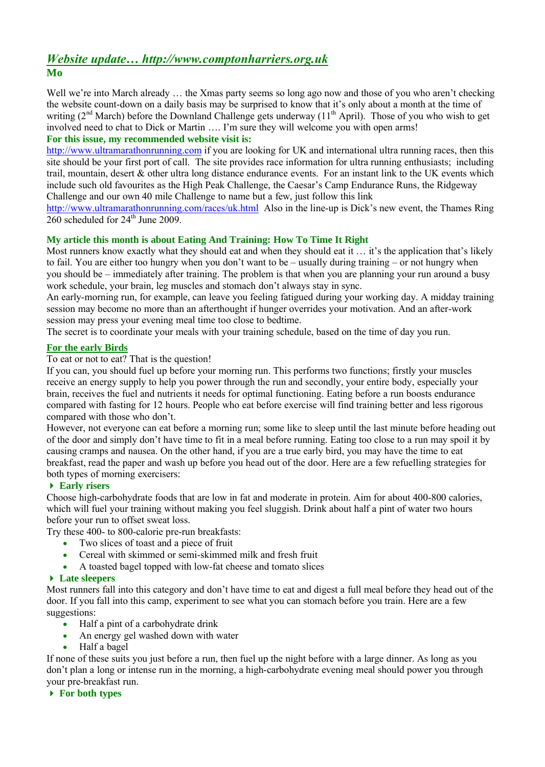## *Website update… http://www.comptonharriers.org.uk* **Mo**

Well we're into March already ... the Xmas party seems so long ago now and those of you who aren't checking the website count-down on a daily basis may be surprised to know that it's only about a month at the time of writing  $(2^{nd}$  March) before the Downland Challenge gets underway  $(11^{th}$  April). Those of you who wish to get involved need to chat to Dick or Martin …. I'm sure they will welcome you with open arms!

### **For this issue, my recommended website visit is:**

http://www.ultramarathonrunning.com if you are looking for UK and international ultra running races, then this site should be your first port of call. The site provides race information for ultra running enthusiasts; including trail, mountain, desert & other ultra long distance endurance events. For an instant link to the UK events which include such old favourites as the High Peak Challenge, the Caesar's Camp Endurance Runs, the Ridgeway Challenge and our own 40 mile Challenge to name but a few, just follow this link

http://www.ultramarathonrunning.com/races/uk.html Also in the line-up is Dick's new event, the Thames Ring  $260$  scheduled for  $24<sup>th</sup>$  June 2009.

### **My article this month is about Eating And Training: How To Time It Right**

Most runners know exactly what they should eat and when they should eat it ... it's the application that's likely to fail. You are either too hungry when you don't want to be – usually during training – or not hungry when you should be – immediately after training. The problem is that when you are planning your run around a busy work schedule, your brain, leg muscles and stomach don't always stay in sync.

An early-morning run, for example, can leave you feeling fatigued during your working day. A midday training session may become no more than an afterthought if hunger overrides your motivation. And an after-work session may press your evening meal time too close to bedtime.

The secret is to coordinate your meals with your training schedule, based on the time of day you run.

### **For the early Birds**

To eat or not to eat? That is the question!

If you can, you should fuel up before your morning run. This performs two functions; firstly your muscles receive an energy supply to help you power through the run and secondly, your entire body, especially your brain, receives the fuel and nutrients it needs for optimal functioning. Eating before a run boosts endurance compared with fasting for 12 hours. People who eat before exercise will find training better and less rigorous compared with those who don't.

However, not everyone can eat before a morning run; some like to sleep until the last minute before heading out of the door and simply don't have time to fit in a meal before running. Eating too close to a run may spoil it by causing cramps and nausea. On the other hand, if you are a true early bird, you may have the time to eat breakfast, read the paper and wash up before you head out of the door. Here are a few refuelling strategies for both types of morning exercisers:

### **Early risers**

Choose high-carbohydrate foods that are low in fat and moderate in protein. Aim for about 400-800 calories, which will fuel your training without making you feel sluggish. Drink about half a pint of water two hours before your run to offset sweat loss.

Try these 400- to 800-calorie pre-run breakfasts:

- Two slices of toast and a piece of fruit
- Cereal with skimmed or semi-skimmed milk and fresh fruit
- A toasted bagel topped with low-fat cheese and tomato slices

### **Late sleepers**

Most runners fall into this category and don't have time to eat and digest a full meal before they head out of the door. If you fall into this camp, experiment to see what you can stomach before you train. Here are a few suggestions:

- Half a pint of a carbohydrate drink
- An energy gel washed down with water
- Half a bagel

If none of these suits you just before a run, then fuel up the night before with a large dinner. As long as you don't plan a long or intense run in the morning, a high-carbohydrate evening meal should power you through your pre-breakfast run.

**For both types**